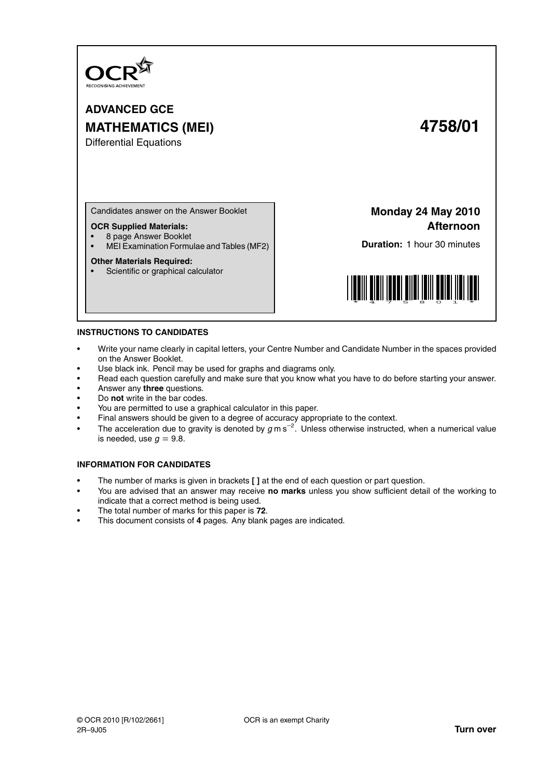

**ADVANCED GCE MATHEMATICS (MEI) 4758/01**

Differential Equations

Candidates answer on the Answer Booklet

# **OCR Supplied Materials:**

• 8 page Answer Booklet

• MEI Examination Formulae and Tables (MF2)

## **Other Materials Required:**

• Scientific or graphical calculator

**Monday 24 May 2010 Afternoon**

**Duration:** 1 hour 30 minutes



## **INSTRUCTIONS TO CANDIDATES**

- Write your name clearly in capital letters, your Centre Number and Candidate Number in the spaces provided on the Answer Booklet.
- Use black ink. Pencil may be used for graphs and diagrams only.
- Read each question carefully and make sure that you know what you have to do before starting your answer.
- Answer any **three** questions.
- Do **not** write in the bar codes.
- You are permitted to use a graphical calculator in this paper.
- Final answers should be given to a degree of accuracy appropriate to the context.
- The acceleration due to gravity is denoted by  $g$  m s<sup>-2</sup>. Unless otherwise instructed, when a numerical value is needed, use  $g = 9.8$ .

# **INFORMATION FOR CANDIDATES**

- The number of marks is given in brackets **[ ]** at the end of each question or part question.
- You are advised that an answer may receive **no marks** unless you show sufficient detail of the working to indicate that a correct method is being used.
- The total number of marks for this paper is **72**.
- This document consists of **4** pages. Any blank pages are indicated.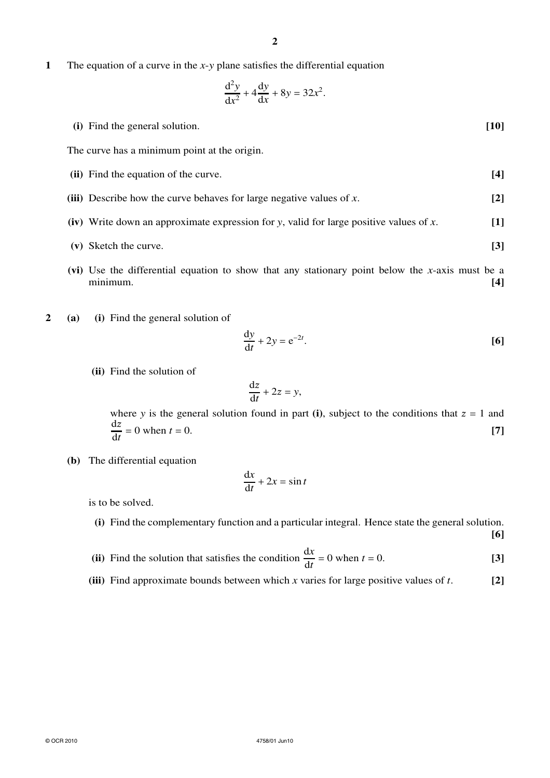**1** The equation of a curve in the *x*-*y* plane satisfies the differential equation

$$
\frac{\mathrm{d}^2 y}{\mathrm{d}x^2} + 4\frac{\mathrm{d}y}{\mathrm{d}x} + 8y = 32x^2.
$$

**(i)** Find the general solution. **[10]**

The curve has a minimum point at the origin.

- **(ii)** Find the equation of the curve. **[4]**
- **(iii)** Describe how the curve behaves for large negative values of *x*. **[2]**
- **(iv)** Write down an approximate expression for *y*, valid for large positive values of *x*. **[1]**
- **(v)** Sketch the curve. **[3]**
- **(vi)** Use the differential equation to show that any stationary point below the *x*-axis must be a minimum. **[4]**
- **2 (a) (i)** Find the general solution of

$$
\frac{\mathrm{d}y}{\mathrm{d}t} + 2y = e^{-2t}.\tag{6}
$$

**(ii)** Find the solution of

$$
\frac{\mathrm{d}z}{\mathrm{d}t} + 2z = y,
$$

where *y* is the general solution found in part (i), subject to the conditions that  $z = 1$  and  $\frac{dz}{z}$  $\frac{dz}{dt} = 0$  when  $t = 0$ . [7]

**(b)** The differential equation

$$
\frac{\mathrm{d}x}{\mathrm{d}t} + 2x = \sin t
$$

is to be solved.

**(i)** Find the complementary function and a particular integral. Hence state the general solution.

**[6]**

- **(ii)** Find the solution that satisfies the condition  $\frac{dx}{dt} = 0$  when  $t = 0$ . [3]
- **(iii)** Find approximate bounds between which *x* varies for large positive values of *t*. **[2]**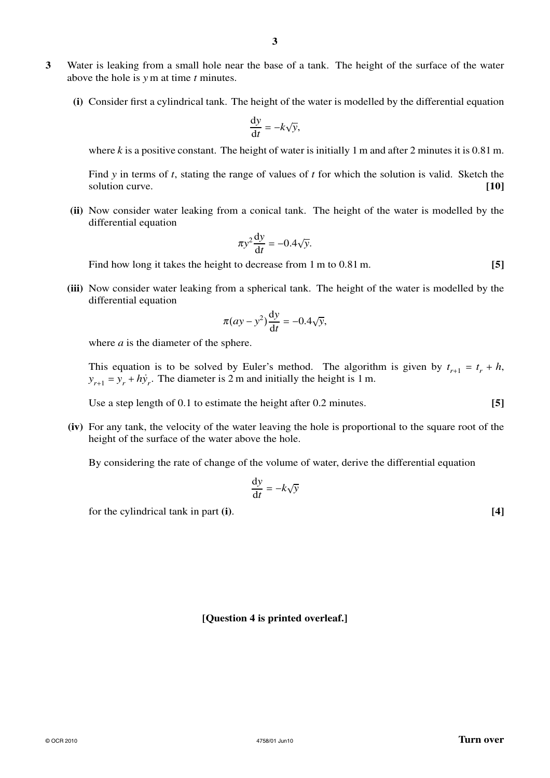- **3** Water is leaking from a small hole near the base of a tank. The height of the surface of the water above the hole is *y* m at time *t* minutes.
	- **(i)** Consider first a cylindrical tank. The height of the water is modelled by the differential equation

d*y*  $\frac{dy}{dt} = -k\sqrt{y},$ 

where  $k$  is a positive constant. The height of water is initially 1 m and after 2 minutes it is 0.81 m.

Find *y* in terms of *t*, stating the range of values of *t* for which the solution is valid. Sketch the solution curve. **[10]**

**(ii)** Now consider water leaking from a conical tank. The height of the water is modelled by the differential equation

$$
\pi y^2 \frac{\mathrm{d}y}{\mathrm{d}t} = -0.4\sqrt{y}.
$$

Find how long it takes the height to decrease from 1 m to 0.81 m. **[5]**

**(iii)** Now consider water leaking from a spherical tank. The height of the water is modelled by the differential equation

$$
\pi(ay - y^2)\frac{\mathrm{d}y}{\mathrm{d}t} = -0.4\sqrt{y},
$$

where *a* is the diameter of the sphere.

This equation is to be solved by Euler's method. The algorithm is given by  $t_{r+1} = t_r + h$ ,  $y_{r+1} = y_r + h\dot{y}_r$ . The diameter is 2 m and initially the height is 1 m.

Use a step length of 0.1 to estimate the height after 0.2 minutes. **[5]**

**(iv)** For any tank, the velocity of the water leaving the hole is proportional to the square root of the height of the surface of the water above the hole.

By considering the rate of change of the volume of water, derive the differential equation

$$
\frac{\mathrm{d}y}{\mathrm{d}t} = -k\sqrt{y}
$$

for the cylindrical tank in part **(i)**. **[4]**

# **[Question 4 is printed overleaf.]**